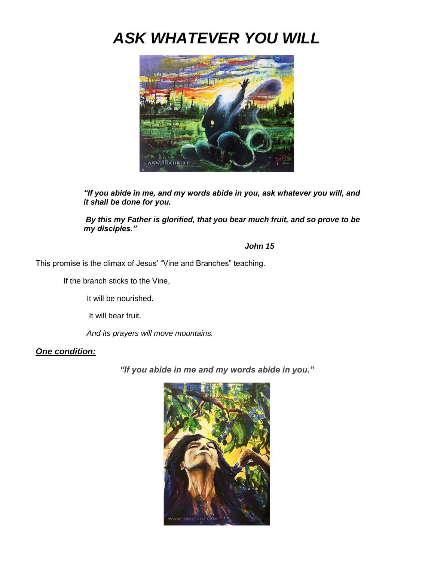# *ASK WHATEVER YOU WILL*



*"If you abide in me, and my words abide in you, ask whatever you will, and it shall be done for you.*

*By this my Father is glorified, that you bear much fruit, and so prove to be my disciples."*

### *John 15*

This promise is the climax of Jesus' "Vine and Branches" teaching.

If the branch sticks to the Vine,

It will be nourished.

It will bear fruit.

*And its prayers will move mountains.*

### *One condition:*

*"If you abide in me and my words abide in you."*

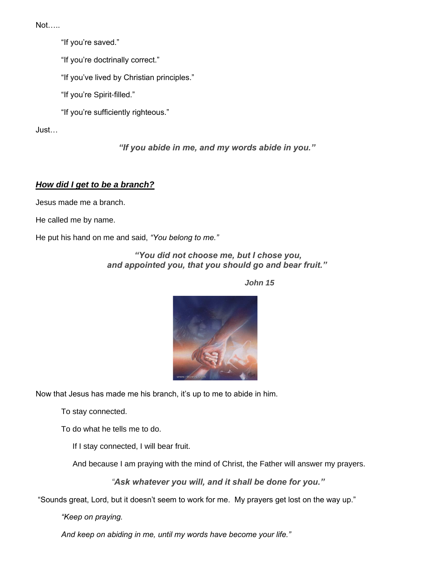Not…..

"If you're saved."

"If you're doctrinally correct."

"If you've lived by Christian principles."

"If you're Spirit-filled."

"If you're sufficiently righteous."

Just…

*"If you abide in me, and my words abide in you."*

# *How did I get to be a branch?*

Jesus made me a branch.

He called me by name.

He put his hand on me and said, *"You belong to me."*

*"You did not choose me, but I chose you, and appointed you, that you should go and bear fruit."*

 *John 15*



Now that Jesus has made me his branch, it's up to me to abide in him.

To stay connected.

To do what he tells me to do.

If I stay connected, I will bear fruit.

And because I am praying with the mind of Christ, the Father will answer my prayers.

*"Ask whatever you will, and it shall be done for you."*

"Sounds great, Lord, but it doesn't seem to work for me. My prayers get lost on the way up."

*"Keep on praying.*

*And keep on abiding in me, until my words have become your life."*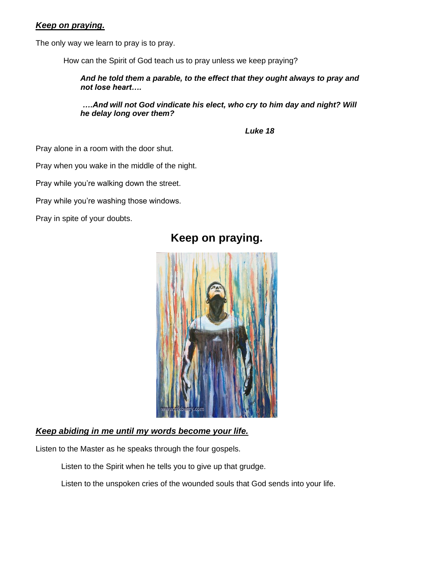### *Keep on praying.*

The only way we learn to pray is to pray.

How can the Spirit of God teach us to pray unless we keep praying?

*And he told them a parable, to the effect that they ought always to pray and not lose heart….*

*….And will not God vindicate his elect, who cry to him day and night? Will he delay long over them?*

 *Luke 18*

Pray alone in a room with the door shut.

Pray when you wake in the middle of the night.

Pray while you're walking down the street.

Pray while you're washing those windows.

Pray in spite of your doubts.



# **Keep on praying.**

### *Keep abiding in me until my words become your life.*

Listen to the Master as he speaks through the four gospels.

Listen to the Spirit when he tells you to give up that grudge.

Listen to the unspoken cries of the wounded souls that God sends into your life.